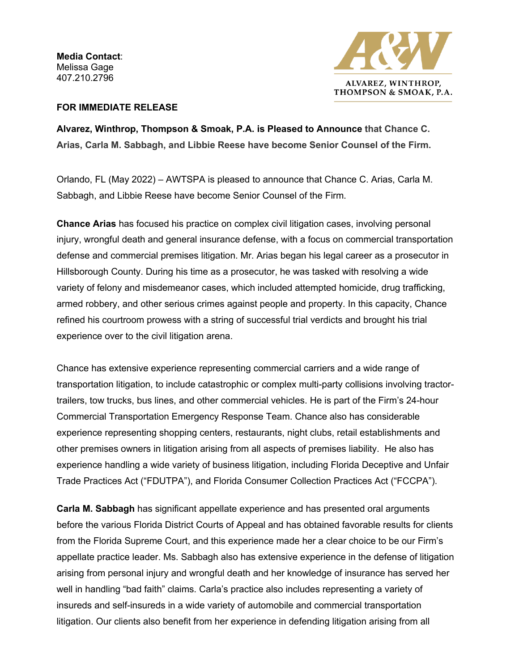**Media Contact**: Melissa Gage 407.210.2796



## **FOR IMMEDIATE RELEASE**

**Alvarez, Winthrop, Thompson & Smoak, P.A. is Pleased to Announce that Chance C. Arias, Carla M. Sabbagh, and Libbie Reese have become Senior Counsel of the Firm.**

Orlando, FL (May 2022) – AWTSPA is pleased to announce that Chance C. Arias, Carla M. Sabbagh, and Libbie Reese have become Senior Counsel of the Firm.

**Chance Arias** has focused his practice on complex civil litigation cases, involving personal injury, wrongful death and general insurance defense, with a focus on commercial transportation defense and commercial premises litigation. Mr. Arias began his legal career as a prosecutor in Hillsborough County. During his time as a prosecutor, he was tasked with resolving a wide variety of felony and misdemeanor cases, which included attempted homicide, drug trafficking, armed robbery, and other serious crimes against people and property. In this capacity, Chance refined his courtroom prowess with a string of successful trial verdicts and brought his trial experience over to the civil litigation arena.

Chance has extensive experience representing commercial carriers and a wide range of transportation litigation, to include catastrophic or complex multi-party collisions involving tractortrailers, tow trucks, bus lines, and other commercial vehicles. He is part of the Firm's 24-hour Commercial Transportation Emergency Response Team. Chance also has considerable experience representing shopping centers, restaurants, night clubs, retail establishments and other premises owners in litigation arising from all aspects of premises liability. He also has experience handling a wide variety of business litigation, including Florida Deceptive and Unfair Trade Practices Act ("FDUTPA"), and Florida Consumer Collection Practices Act ("FCCPA").

**Carla M. Sabbagh** has significant appellate experience and has presented oral arguments before the various Florida District Courts of Appeal and has obtained favorable results for clients from the Florida Supreme Court, and this experience made her a clear choice to be our Firm's appellate practice leader. Ms. Sabbagh also has extensive experience in the defense of litigation arising from personal injury and wrongful death and her knowledge of insurance has served her well in handling "bad faith" claims. Carla's practice also includes representing a variety of insureds and self-insureds in a wide variety of automobile and commercial transportation litigation. Our clients also benefit from her experience in defending litigation arising from all